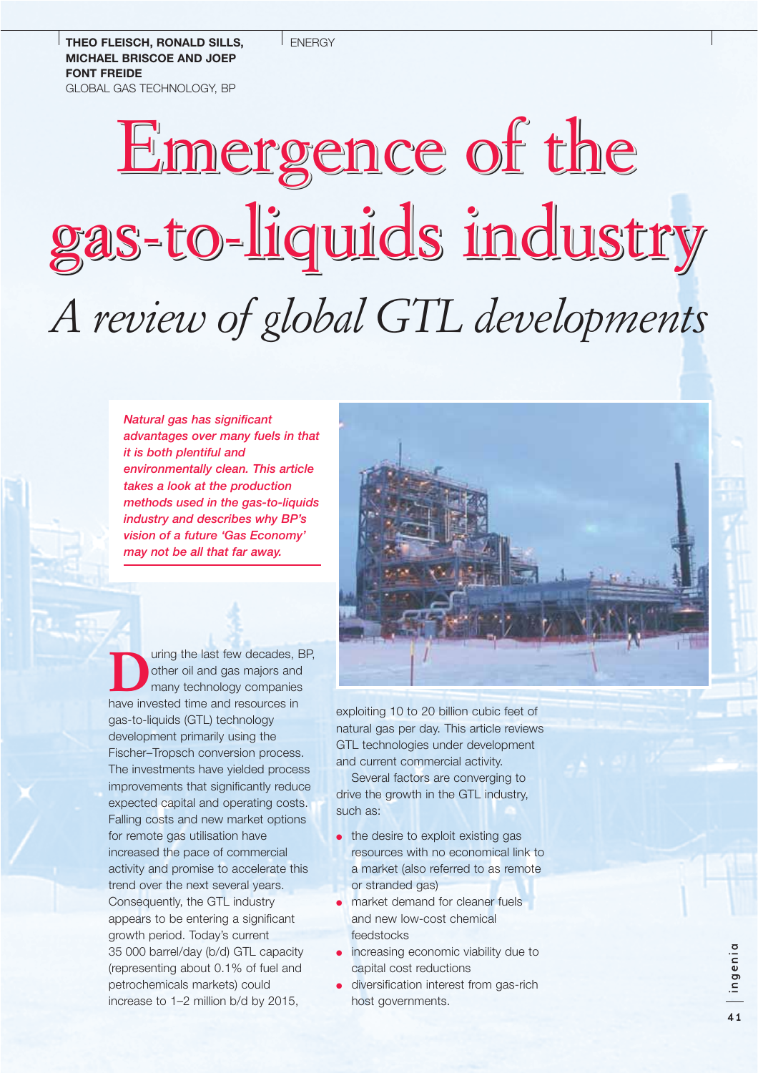**ENFRGY** 

#### **THEO FLEISCH, RONALD SILLS, MICHAEL BRISCOE AND JOEP FONT FREIDE** GLOBAL GAS TECHNOLOGY, BP

# Emergence of the gas-to-liquids industry gas-to-liquids industry gas-to-liquids industry gas-to-liquids industry*A review of global GTL developments*

*Natural gas has significant advantages over many fuels in that it is both plentiful and environmentally clean. This article takes a look at the production methods used in the gas-to-liquids industry and describes why BP's vision of a future 'Gas Economy' may not be all that far away.*

Uring the last few decades, BP,<br>
other oil and gas majors and<br>
many technology companies<br>
have invested time and resources in other oil and gas majors and many technology companies have invested time and resources in gas-to-liquids (GTL) technology development primarily using the Fischer–Tropsch conversion process. The investments have yielded process improvements that significantly reduce expected capital and operating costs. Falling costs and new market options for remote gas utilisation have increased the pace of commercial activity and promise to accelerate this trend over the next several years. Consequently, the GTL industry appears to be entering a significant growth period. Today's current 35 000 barrel/day (b/d) GTL capacity (representing about 0.1% of fuel and petrochemicals markets) could increase to 1–2 million b/d by 2015,



exploiting 10 to 20 billion cubic feet of natural gas per day. This article reviews GTL technologies under development and current commercial activity.

Several factors are converging to drive the growth in the GTL industry, such as:

- the desire to exploit existing gas resources with no economical link to a market (also referred to as remote or stranded gas)
- market demand for cleaner fuels and new low-cost chemical feedstocks
- increasing economic viability due to capital cost reductions
- diversification interest from gas-rich host governments.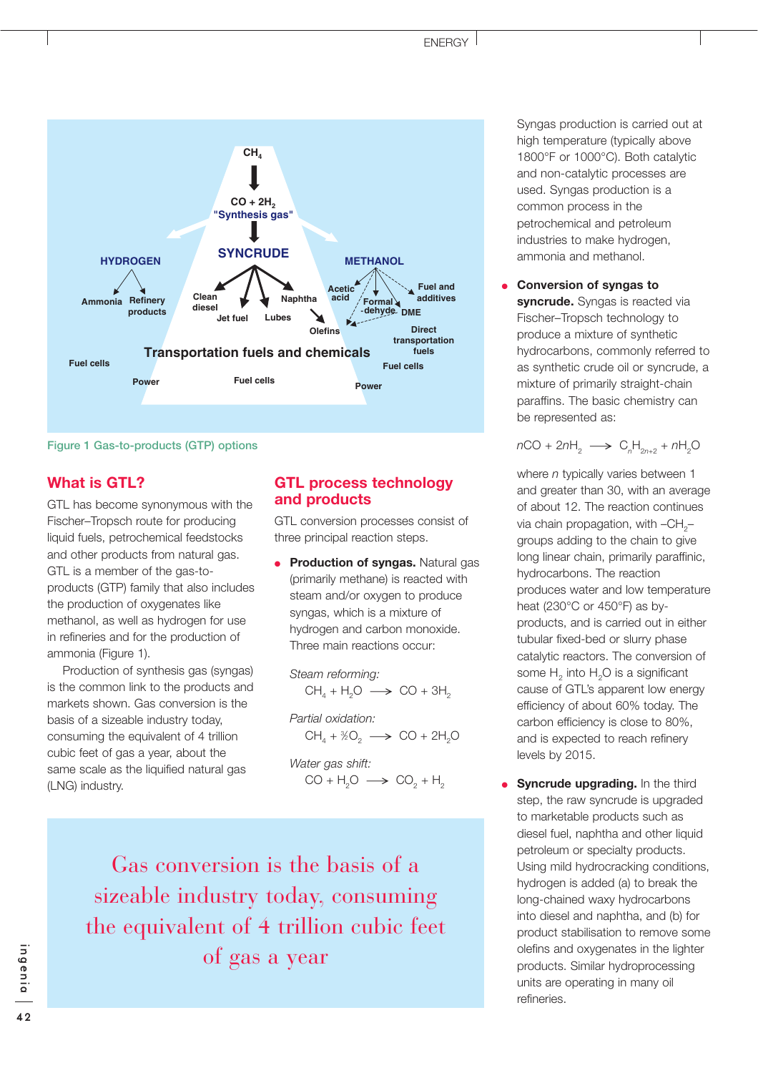

**Figure 1 Gas-to-products (GTP) options**

## **What is GTL?**

GTL has become synonymous with the Fischer–Tropsch route for producing liquid fuels, petrochemical feedstocks and other products from natural gas. GTL is a member of the gas-toproducts (GTP) family that also includes the production of oxygenates like methanol, as well as hydrogen for use in refineries and for the production of ammonia (Figure 1).

Production of synthesis gas (syngas) is the common link to the products and markets shown. Gas conversion is the basis of a sizeable industry today, consuming the equivalent of 4 trillion cubic feet of gas a year, about the same scale as the liquified natural gas (LNG) industry.

# **GTL process technology and products**

GTL conversion processes consist of three principal reaction steps.

**Production of syngas.** Natural gas (primarily methane) is reacted with steam and/or oxygen to produce syngas, which is a mixture of hydrogen and carbon monoxide. Three main reactions occur:

*Steam reforming:*  $CH<sub>4</sub> + H<sub>2</sub>O \longrightarrow CO + 3H<sub>2</sub>$ 

*Partial oxidation:*  $CH_4 + \frac{1}{2}O_2 \longrightarrow CO + 2H_2O$ 

*Water gas shift:*  $CO + H<sub>2</sub>O \longrightarrow CO<sub>2</sub> + H<sub>2</sub>$ 

Gas conversion is the basis of a sizeable industry today, consuming the equivalent of 4 trillion cubic feet of gas a year

Syngas production is carried out at high temperature (typically above 1800°F or 1000°C). Both catalytic and non-catalytic processes are used. Syngas production is a common process in the petrochemical and petroleum industries to make hydrogen, ammonia and methanol.

● **Conversion of syngas to syncrude.** Syngas is reacted via Fischer–Tropsch technology to produce a mixture of synthetic hydrocarbons, commonly referred to as synthetic crude oil or syncrude, a mixture of primarily straight-chain paraffins. The basic chemistry can be represented as:

 $nCO + 2nH_2 \longrightarrow C_nH_{2n+2} + nH_2O$ 

where *n* typically varies between 1 and greater than 30, with an average of about 12. The reaction continues via chain propagation, with  $-CH<sub>2</sub>$ groups adding to the chain to give long linear chain, primarily paraffinic, hydrocarbons. The reaction produces water and low temperature heat (230°C or 450°F) as byproducts, and is carried out in either tubular fixed-bed or slurry phase catalytic reactors. The conversion of some  $H<sub>2</sub>$  into  $H<sub>2</sub>O$  is a significant cause of GTL's apparent low energy efficiency of about 60% today. The carbon efficiency is close to 80%, and is expected to reach refinery levels by 2015.

**Syncrude upgrading.** In the third step, the raw syncrude is upgraded to marketable products such as diesel fuel, naphtha and other liquid petroleum or specialty products. Using mild hydrocracking conditions, hydrogen is added (a) to break the long-chained waxy hydrocarbons into diesel and naphtha, and (b) for product stabilisation to remove some olefins and oxygenates in the lighter products. Similar hydroprocessing units are operating in many oil refineries.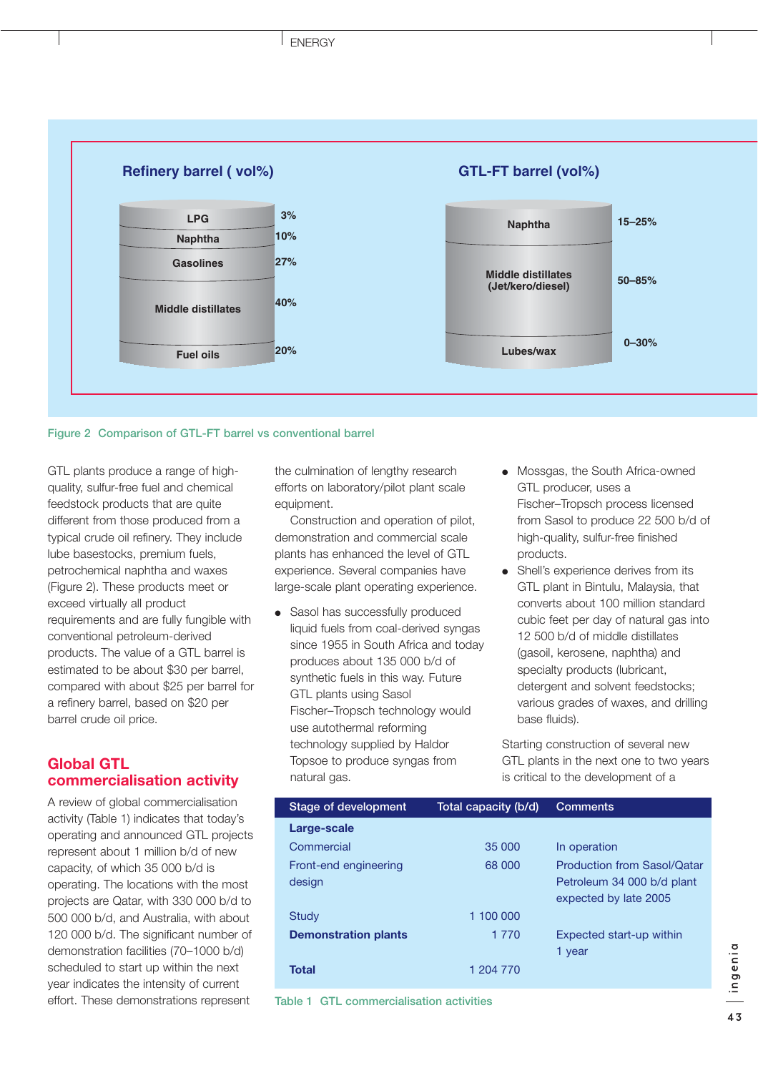

#### **Figure 2 Comparison of GTL-FT barrel vs conventional barrel**

GTL plants produce a range of highquality, sulfur-free fuel and chemical feedstock products that are quite different from those produced from a typical crude oil refinery. They include lube basestocks, premium fuels, petrochemical naphtha and waxes (Figure 2). These products meet or exceed virtually all product requirements and are fully fungible with conventional petroleum-derived products. The value of a GTL barrel is estimated to be about \$30 per barrel, compared with about \$25 per barrel for a refinery barrel, based on \$20 per barrel crude oil price.

## **Global GTL commercialisation activity**

A review of global commercialisation activity (Table 1) indicates that today's operating and announced GTL projects represent about 1 million b/d of new capacity, of which 35 000 b/d is operating. The locations with the most projects are Qatar, with 330 000 b/d to 500 000 b/d, and Australia, with about 120 000 b/d. The significant number of demonstration facilities (70–1000 b/d) scheduled to start up within the next year indicates the intensity of current effort. These demonstrations represent

the culmination of lengthy research efforts on laboratory/pilot plant scale equipment.

Construction and operation of pilot, demonstration and commercial scale plants has enhanced the level of GTL experience. Several companies have large-scale plant operating experience.

- Sasol has successfully produced liquid fuels from coal-derived syngas since 1955 in South Africa and today produces about 135 000 b/d of synthetic fuels in this way. Future GTL plants using Sasol Fischer–Tropsch technology would use autothermal reforming technology supplied by Haldor Topsoe to produce syngas from natural gas.
- Mossgas, the South Africa-owned GTL producer, uses a Fischer–Tropsch process licensed from Sasol to produce 22 500 b/d of high-quality, sulfur-free finished products.
- Shell's experience derives from its GTL plant in Bintulu, Malaysia, that converts about 100 million standard cubic feet per day of natural gas into 12 500 b/d of middle distillates (gasoil, kerosene, naphtha) and specialty products (lubricant, detergent and solvent feedstocks; various grades of waxes, and drilling base fluids).

Starting construction of several new GTL plants in the next one to two years is critical to the development of a

| Stage of development        | Total capacity (b/d) | <b>Comments</b>                    |
|-----------------------------|----------------------|------------------------------------|
| Large-scale                 |                      |                                    |
| Commercial                  | 35 000               | In operation                       |
| Front-end engineering       | 68 000               | <b>Production from Sasol/Qatar</b> |
| design                      |                      | Petroleum 34 000 b/d plant         |
|                             |                      | expected by late 2005              |
| Study                       | 1 100 000            |                                    |
| <b>Demonstration plants</b> | 1 7 7 0              | Expected start-up within           |
|                             |                      | 1 year                             |
| <b>Total</b>                | 1 204 770            |                                    |
|                             |                      |                                    |

**Table 1 GTL commercialisation activities**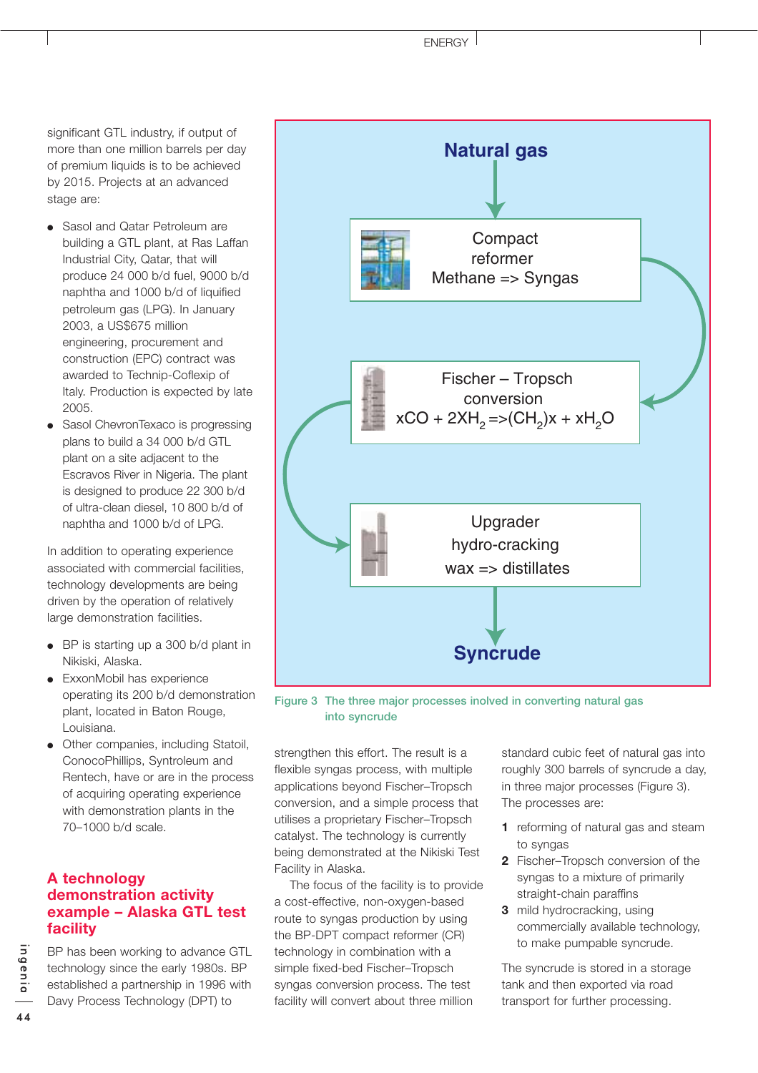significant GTL industry, if output of more than one million barrels per day of premium liquids is to be achieved by 2015. Projects at an advanced stage are:

- Sasol and Qatar Petroleum are building a GTL plant, at Ras Laffan Industrial City, Qatar, that will produce 24 000 b/d fuel, 9000 b/d naphtha and 1000 b/d of liquified petroleum gas (LPG). In January 2003, a US\$675 million engineering, procurement and construction (EPC) contract was awarded to Technip-Coflexip of Italy. Production is expected by late 2005.
- Sasol ChevronTexaco is progressing plans to build a 34 000 b/d GTL plant on a site adjacent to the Escravos River in Nigeria. The plant is designed to produce 22 300 b/d of ultra-clean diesel, 10 800 b/d of naphtha and 1000 b/d of LPG.

In addition to operating experience associated with commercial facilities, technology developments are being driven by the operation of relatively large demonstration facilities.

- BP is starting up a 300 b/d plant in Nikiski, Alaska.
- ExxonMobil has experience operating its 200 b/d demonstration plant, located in Baton Rouge, Louisiana.
- Other companies, including Statoil, ConocoPhillips, Syntroleum and Rentech, have or are in the process of acquiring operating experience with demonstration plants in the 70–1000 b/d scale.

# **A technology demonstration activity example – Alaska GTL test facility**

BP has been working to advance GTL technology since the early 1980s. BP established a partnership in 1996 with Davy Process Technology (DPT) to



**Figure 3 The three major processes inolved in converting natural gas into syncrude**

strengthen this effort. The result is a flexible syngas process, with multiple applications beyond Fischer–Tropsch conversion, and a simple process that utilises a proprietary Fischer–Tropsch catalyst. The technology is currently being demonstrated at the Nikiski Test Facility in Alaska.

The focus of the facility is to provide a cost-effective, non-oxygen-based route to syngas production by using the BP-DPT compact reformer (CR) technology in combination with a simple fixed-bed Fischer–Tropsch syngas conversion process. The test facility will convert about three million

standard cubic feet of natural gas into roughly 300 barrels of syncrude a day, in three major processes (Figure 3). The processes are:

- **1** reforming of natural gas and steam to syngas
- **2** Fischer–Tropsch conversion of the syngas to a mixture of primarily straight-chain paraffins
- **3** mild hydrocracking, using commercially available technology, to make pumpable syncrude.

The syncrude is stored in a storage tank and then exported via road transport for further processing.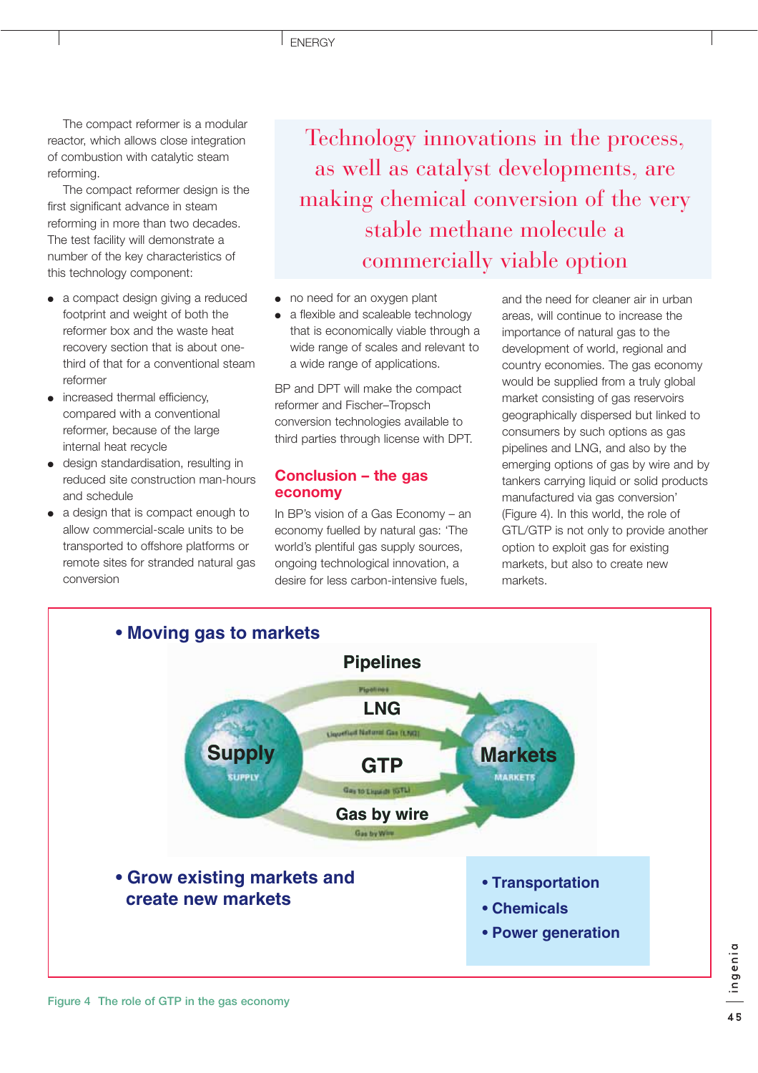The compact reformer is a modular reactor, which allows close integration of combustion with catalytic steam reforming.

The compact reformer design is the first significant advance in steam reforming in more than two decades. The test facility will demonstrate a number of the key characteristics of this technology component:

- a compact design giving a reduced footprint and weight of both the reformer box and the waste heat recovery section that is about onethird of that for a conventional steam reformer
- increased thermal efficiency, compared with a conventional reformer, because of the large internal heat recycle
- design standardisation, resulting in reduced site construction man-hours and schedule
- a design that is compact enough to allow commercial-scale units to be transported to offshore platforms or remote sites for stranded natural gas conversion

Technology innovations in the process, as well as catalyst developments, are making chemical conversion of the very stable methane molecule a commercially viable option

- no need for an oxygen plant
- a flexible and scaleable technology that is economically viable through a wide range of scales and relevant to a wide range of applications.

BP and DPT will make the compact reformer and Fischer–Tropsch conversion technologies available to third parties through license with DPT.

### **Conclusion – the gas economy**

In BP's vision of a Gas Economy – an economy fuelled by natural gas: 'The world's plentiful gas supply sources, ongoing technological innovation, a desire for less carbon-intensive fuels,

and the need for cleaner air in urban areas, will continue to increase the importance of natural gas to the development of world, regional and country economies. The gas economy would be supplied from a truly global market consisting of gas reservoirs geographically dispersed but linked to consumers by such options as gas pipelines and LNG, and also by the emerging options of gas by wire and by tankers carrying liquid or solid products manufactured via gas conversion' (Figure 4). In this world, the role of GTL/GTP is not only to provide another option to exploit gas for existing markets, but also to create new markets.